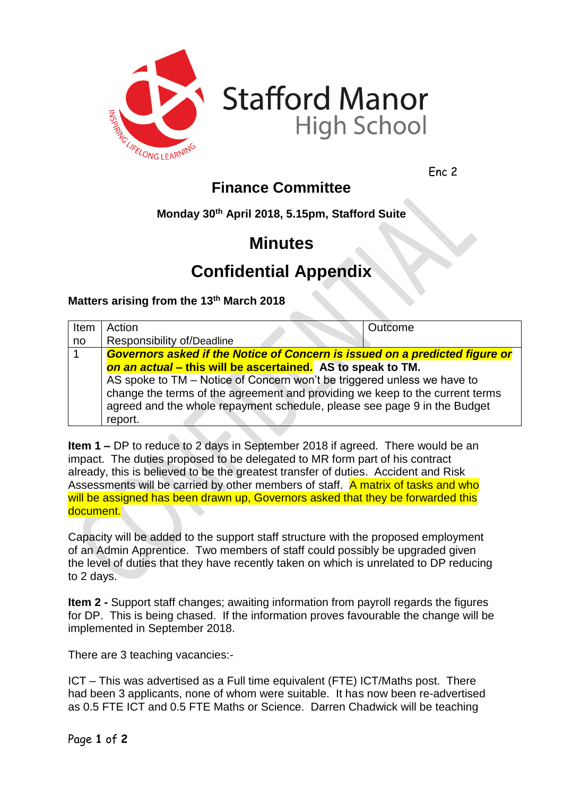

**Stafford Manor High School** 

Enc 2

## **Finance Committee**

**Monday 30th April 2018, 5.15pm, Stafford Suite**

# **Minutes**

# **Confidential Appendix**

### **Matters arising from the 13th March 2018**

| Item | Action                                                                                                                                                                                                                              | Outcome |  |
|------|-------------------------------------------------------------------------------------------------------------------------------------------------------------------------------------------------------------------------------------|---------|--|
| no   | Responsibility of/Deadline                                                                                                                                                                                                          |         |  |
|      | Governors asked if the Notice of Concern is issued on a predicted figure or                                                                                                                                                         |         |  |
|      | on an actual – this will be ascertained. AS to speak to TM.                                                                                                                                                                         |         |  |
|      | AS spoke to TM - Notice of Concern won't be triggered unless we have to<br>change the terms of the agreement and providing we keep to the current terms<br>agreed and the whole repayment schedule, please see page 9 in the Budget |         |  |
|      |                                                                                                                                                                                                                                     |         |  |
|      |                                                                                                                                                                                                                                     |         |  |
|      | report.                                                                                                                                                                                                                             |         |  |

**Item 1 –** DP to reduce to 2 days in September 2018 if agreed. There would be an impact. The duties proposed to be delegated to MR form part of his contract already, this is believed to be the greatest transfer of duties. Accident and Risk Assessments will be carried by other members of staff. A matrix of tasks and who will be assigned has been drawn up, Governors asked that they be forwarded this document.

Capacity will be added to the support staff structure with the proposed employment of an Admin Apprentice. Two members of staff could possibly be upgraded given the level of duties that they have recently taken on which is unrelated to DP reducing to 2 days.

**Item 2 -** Support staff changes; awaiting information from payroll regards the figures for DP. This is being chased. If the information proves favourable the change will be implemented in September 2018.

There are 3 teaching vacancies:-

ICT – This was advertised as a Full time equivalent (FTE) ICT/Maths post. There had been 3 applicants, none of whom were suitable. It has now been re-advertised as 0.5 FTE ICT and 0.5 FTE Maths or Science. Darren Chadwick will be teaching